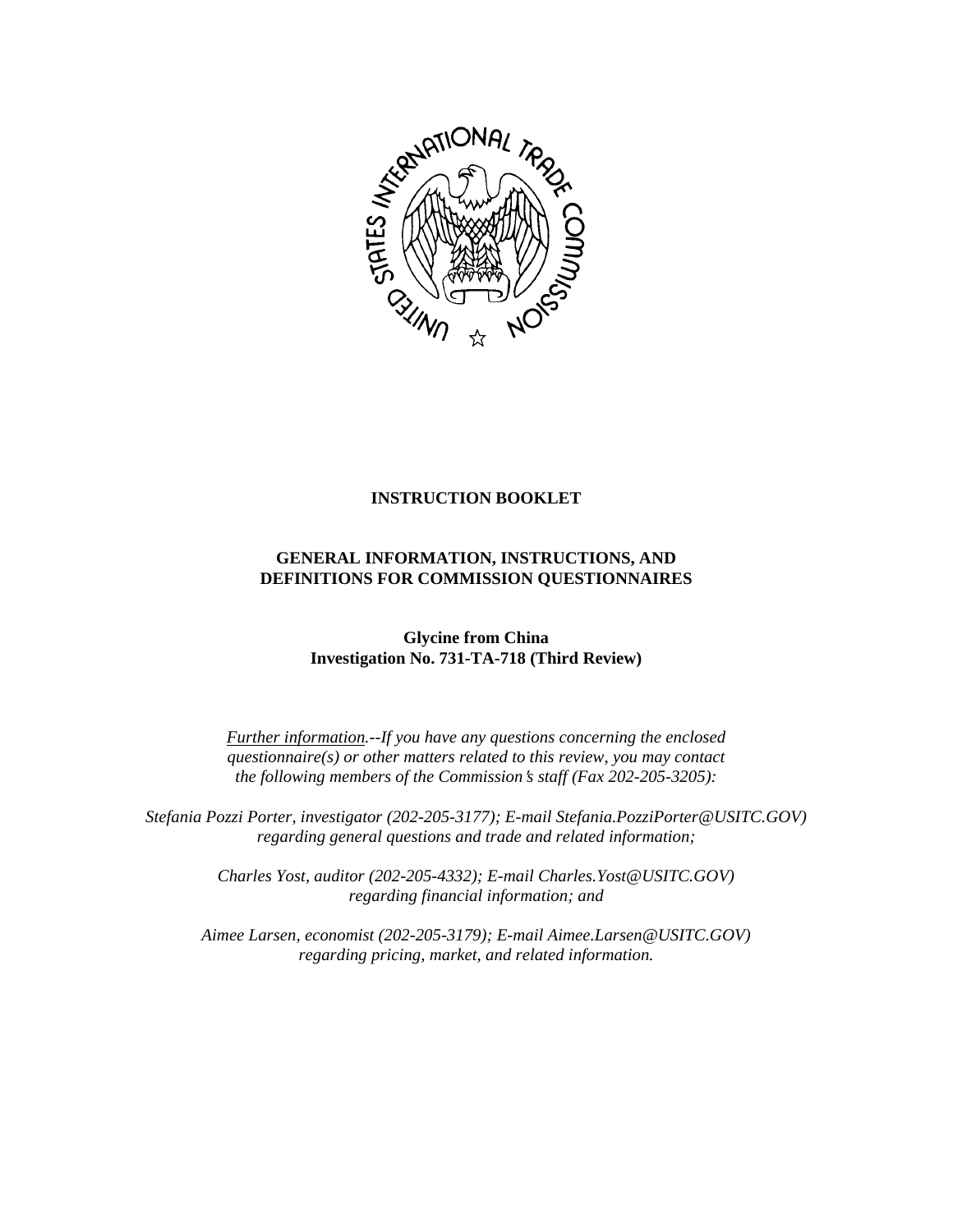

### **INSTRUCTION BOOKLET**

# **GENERAL INFORMATION, INSTRUCTIONS, AND DEFINITIONS FOR COMMISSION QUESTIONNAIRES**

**Glycine from China Investigation No. 731-TA-718 (Third Review)**

*Further information.--If you have any questions concerning the enclosed questionnaire(s) or other matters related to this review, you may contact the following members of the Commission*=*s staff (Fax 202-205-3205):* 

 *Stefania Pozzi Porter, investigator (202-205-3177); E-mail Stefania.PozziPorter@USITC.GOV) regarding general questions and trade and related information;* 

> *Charles Yost, auditor (202-205-4332); E-mail Charles.Yost@USITC.GOV) regarding financial information; and*

 *Aimee Larsen, economist (202-205-3179); E-mail Aimee.Larsen@USITC.GOV) regarding pricing, market, and related information.*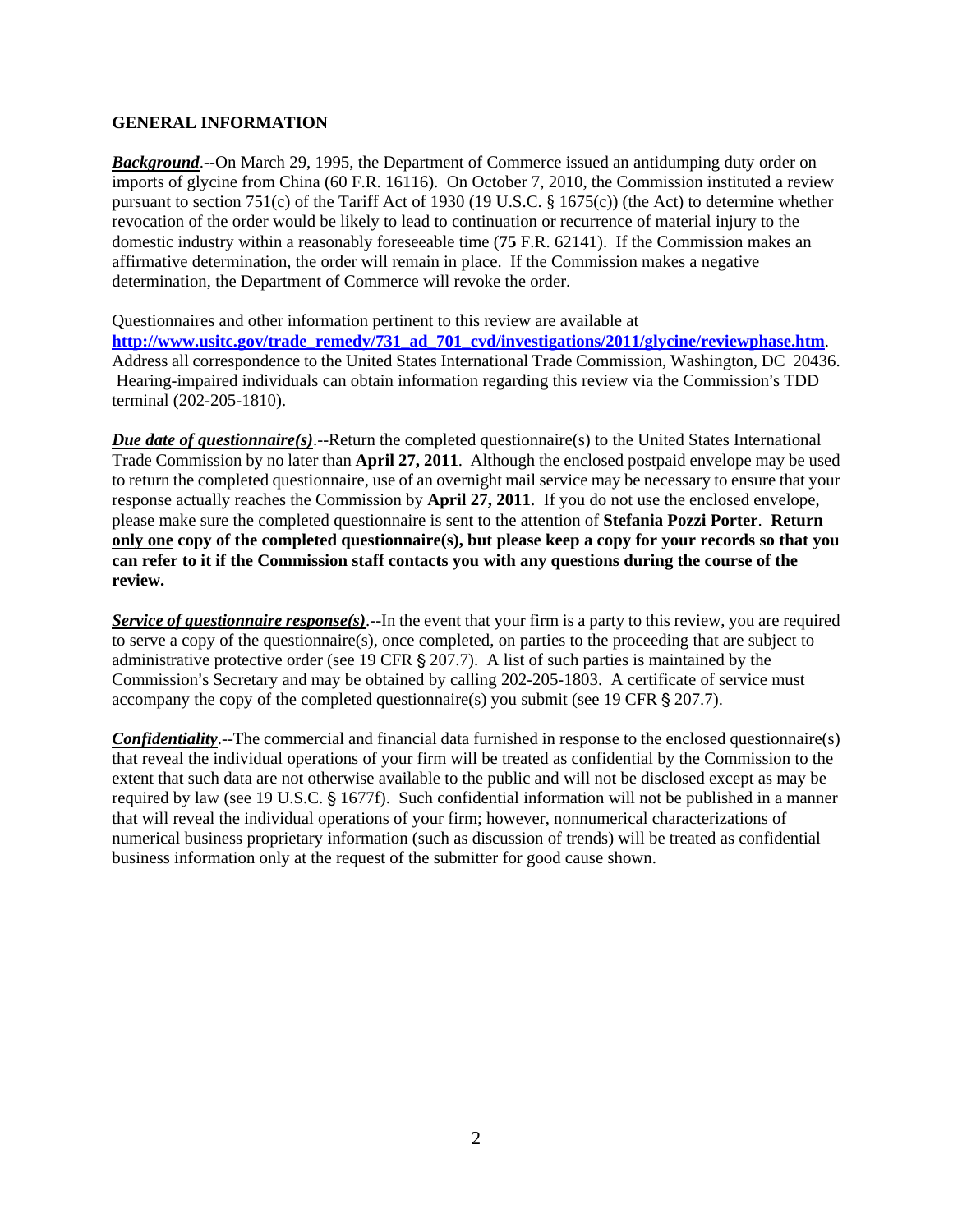### **GENERAL INFORMATION**

**Background**.--On March 29, 1995, the Department of Commerce issued an antidumping duty order on imports of glycine from China (60 F.R. 16116). On October 7, 2010, the Commission instituted a review pursuant to section 751(c) of the Tariff Act of 1930 (19 U.S.C. § 1675(c)) (the Act) to determine whether revocation of the order would be likely to lead to continuation or recurrence of material injury to the domestic industry within a reasonably foreseeable time (**75** F.R. 62141). If the Commission makes an affirmative determination, the order will remain in place. If the Commission makes a negative determination, the Department of Commerce will revoke the order.

Questionnaires and other information pertinent to this review are available at **http://www.usitc.gov/trade\_remedy/731\_ad\_701\_cvd/investigations/2011/glycine/reviewphase.htm**. Address all correspondence to the United States International Trade Commission, Washington, DC 20436. Hearing-impaired individuals can obtain information regarding this review via the Commission's TDD terminal (202-205-1810).

*Due date of questionnaire(s)*.--Return the completed questionnaire(s) to the United States International Trade Commission by no later than **April 27, 2011**. Although the enclosed postpaid envelope may be used to return the completed questionnaire, use of an overnight mail service may be necessary to ensure that your response actually reaches the Commission by **April 27, 2011**. If you do not use the enclosed envelope, please make sure the completed questionnaire is sent to the attention of **Stefania Pozzi Porter**. **Return only one copy of the completed questionnaire(s), but please keep a copy for your records so that you can refer to it if the Commission staff contacts you with any questions during the course of the review.**

*Service of questionnaire response(s)*.--In the event that your firm is a party to this review, you are required to serve a copy of the questionnaire(s), once completed, on parties to the proceeding that are subject to administrative protective order (see 19 CFR  $\S 207.7$ ). A list of such parties is maintained by the Commission's Secretary and may be obtained by calling  $202-205-1803$ . A certificate of service must accompany the copy of the completed questionnaire(s) you submit (see 19 CFR  $\S 207.7$ ).

*Confidentiality*.--The commercial and financial data furnished in response to the enclosed questionnaire(s) that reveal the individual operations of your firm will be treated as confidential by the Commission to the extent that such data are not otherwise available to the public and will not be disclosed except as may be required by law (see 19 U.S.C. § 1677f). Such confidential information will not be published in a manner that will reveal the individual operations of your firm; however, nonnumerical characterizations of numerical business proprietary information (such as discussion of trends) will be treated as confidential business information only at the request of the submitter for good cause shown.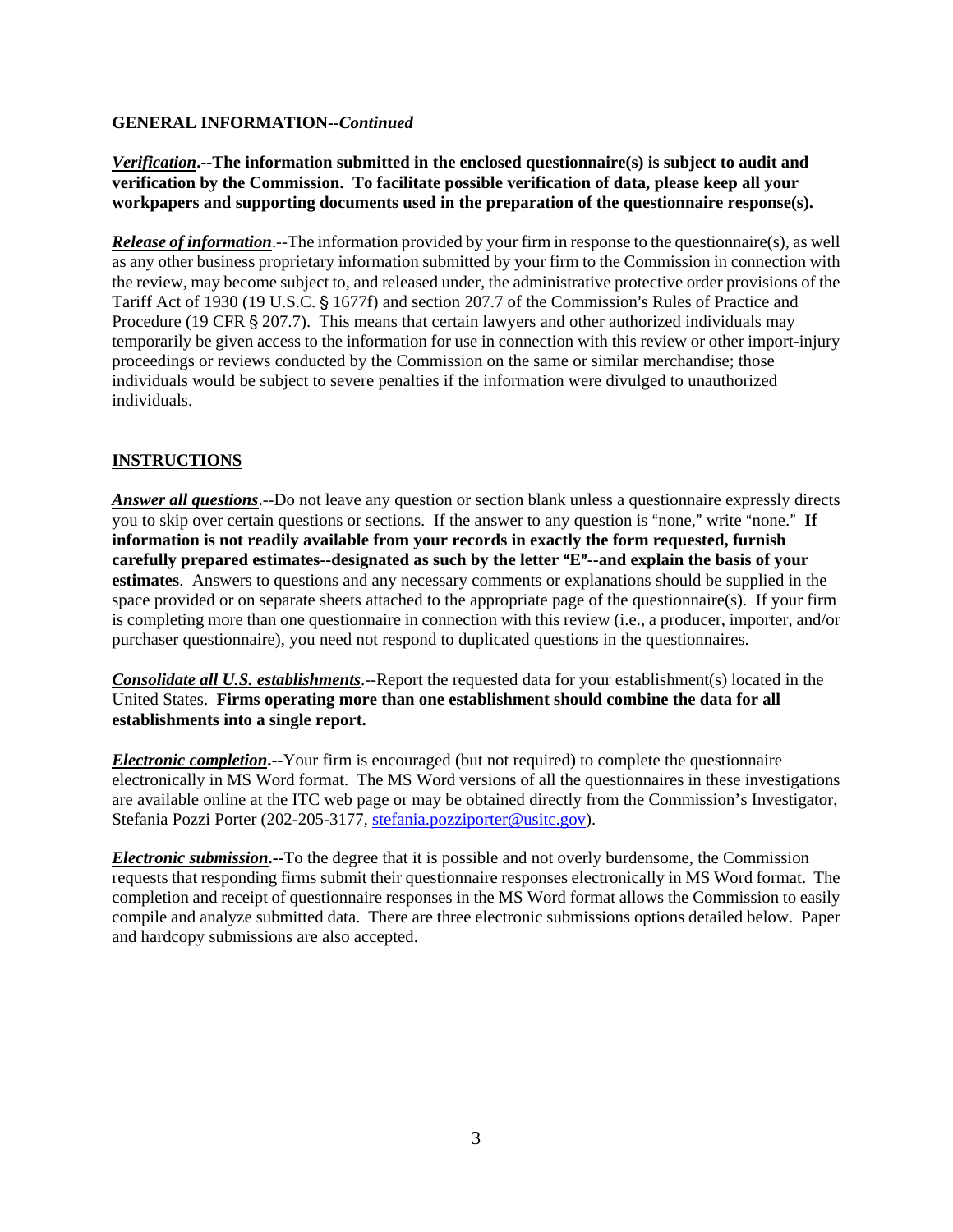## **GENERAL INFORMATION--***Continued*

*Verification***.--The information submitted in the enclosed questionnaire(s) is subject to audit and verification by the Commission. To facilitate possible verification of data, please keep all your workpapers and supporting documents used in the preparation of the questionnaire response(s).**

*Release of information*.--The information provided by your firm in response to the questionnaire(s), as well as any other business proprietary information submitted by your firm to the Commission in connection with the review, may become subject to, and released under, the administrative protective order provisions of the Tariff Act of 1930 (19 U.S.C. § 1677f) and section 207.7 of the Commission's Rules of Practice and Procedure (19 CFR  $\S 207.7$ ). This means that certain lawyers and other authorized individuals may temporarily be given access to the information for use in connection with this review or other import-injury proceedings or reviews conducted by the Commission on the same or similar merchandise; those individuals would be subject to severe penalties if the information were divulged to unauthorized individuals.

## **INSTRUCTIONS**

*Answer all questions*.--Do not leave any question or section blank unless a questionnaire expressly directs you to skip over certain questions or sections. If the answer to any question is "none," write "none." If **information is not readily available from your records in exactly the form requested, furnish carefully prepared estimates--designated as such by the letter "E"--and explain the basis of your estimates**. Answers to questions and any necessary comments or explanations should be supplied in the space provided or on separate sheets attached to the appropriate page of the questionnaire(s). If your firm is completing more than one questionnaire in connection with this review (i.e., a producer, importer, and/or purchaser questionnaire), you need not respond to duplicated questions in the questionnaires.

*Consolidate all U.S. establishments*.--Report the requested data for your establishment(s) located in the United States. **Firms operating more than one establishment should combine the data for all establishments into a single report.** 

*Electronic completion***.--**Your firm is encouraged (but not required) to complete the questionnaire electronically in MS Word format. The MS Word versions of all the questionnaires in these investigations are available online at the ITC web page or may be obtained directly from the Commission's Investigator, Stefania Pozzi Porter (202-205-3177, stefania.pozziporter@usitc.gov).

*Electronic submission***.--**To the degree that it is possible and not overly burdensome, the Commission requests that responding firms submit their questionnaire responses electronically in MS Word format. The completion and receipt of questionnaire responses in the MS Word format allows the Commission to easily compile and analyze submitted data. There are three electronic submissions options detailed below. Paper and hardcopy submissions are also accepted.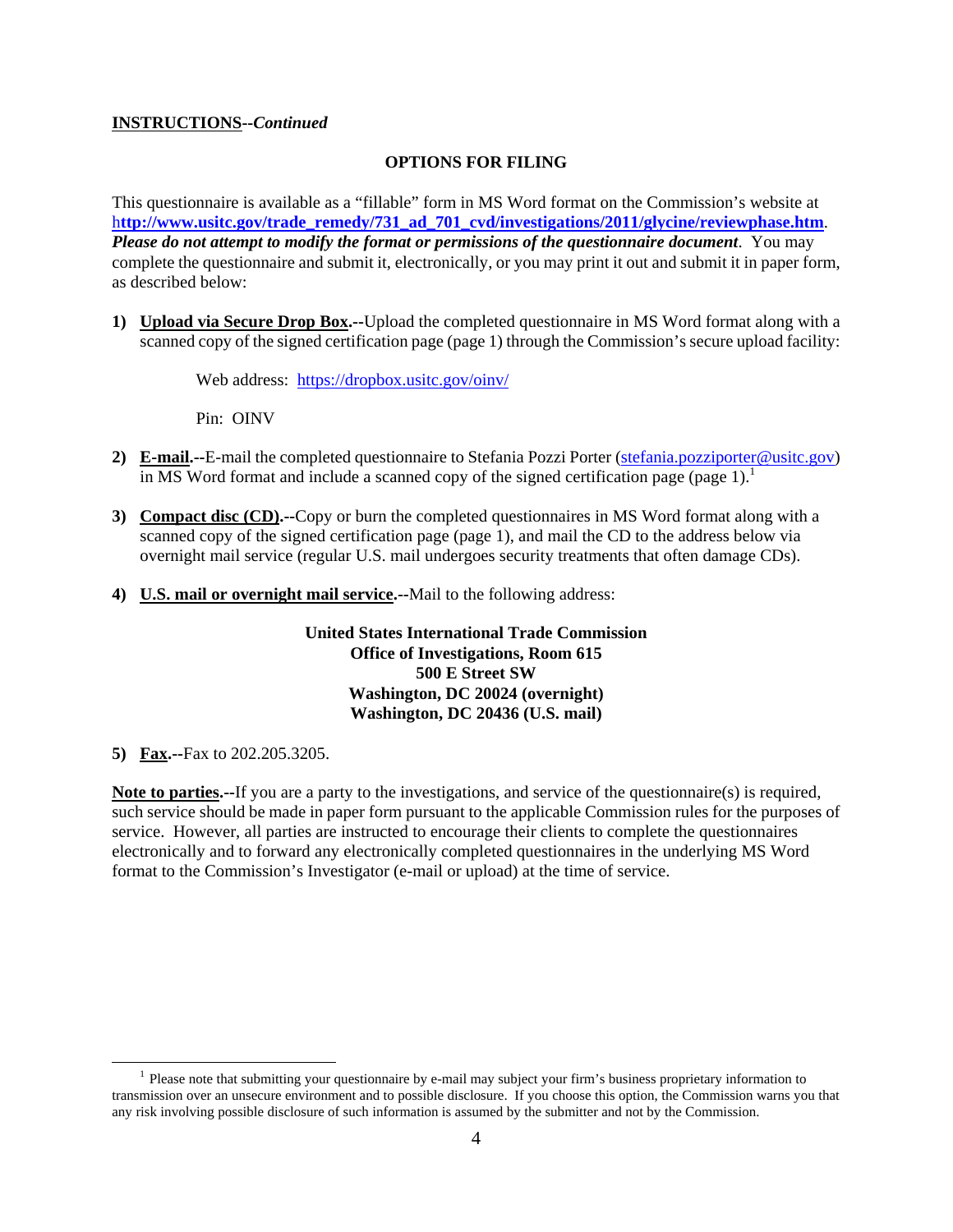### **INSTRUCTIONS--***Continued*

#### **OPTIONS FOR FILING**

This questionnaire is available as a "fillable" form in MS Word format on the Commission's website at h**ttp://www.usitc.gov/trade\_remedy/731\_ad\_701\_cvd/investigations/2011/glycine/reviewphase.htm**. *Please do not attempt to modify the format or permissions of the questionnaire document*. You may complete the questionnaire and submit it, electronically, or you may print it out and submit it in paper form, as described below:

**1) Upload via Secure Drop Box.--**Upload the completed questionnaire in MS Word format along with a scanned copy of the signed certification page (page 1) through the Commission's secure upload facility:

Web address: https://dropbox.usitc.gov/oinv/

Pin: OINV

- **2) E-mail.--**E-mail the completed questionnaire to Stefania Pozzi Porter (stefania.pozziporter@usitc.gov) in MS Word format and include a scanned copy of the signed certification page (page  $1$ ).<sup>1</sup>
- **3) Compact disc (CD).--**Copy or burn the completed questionnaires in MS Word format along with a scanned copy of the signed certification page (page 1), and mail the CD to the address below via overnight mail service (regular U.S. mail undergoes security treatments that often damage CDs).
- **4) U.S. mail or overnight mail service.--**Mail to the following address:

**United States International Trade Commission Office of Investigations, Room 615 500 E Street SW Washington, DC 20024 (overnight) Washington, DC 20436 (U.S. mail)** 

**5) Fax.--**Fax to 202.205.3205.

**Note to parties.--**If you are a party to the investigations, and service of the questionnaire(s) is required, such service should be made in paper form pursuant to the applicable Commission rules for the purposes of service. However, all parties are instructed to encourage their clients to complete the questionnaires electronically and to forward any electronically completed questionnaires in the underlying MS Word format to the Commission's Investigator (e-mail or upload) at the time of service.

<sup>&</sup>lt;sup>1</sup> Please note that submitting your questionnaire by e-mail may subject your firm's business proprietary information to transmission over an unsecure environment and to possible disclosure. If you choose this option, the Commission warns you that any risk involving possible disclosure of such information is assumed by the submitter and not by the Commission.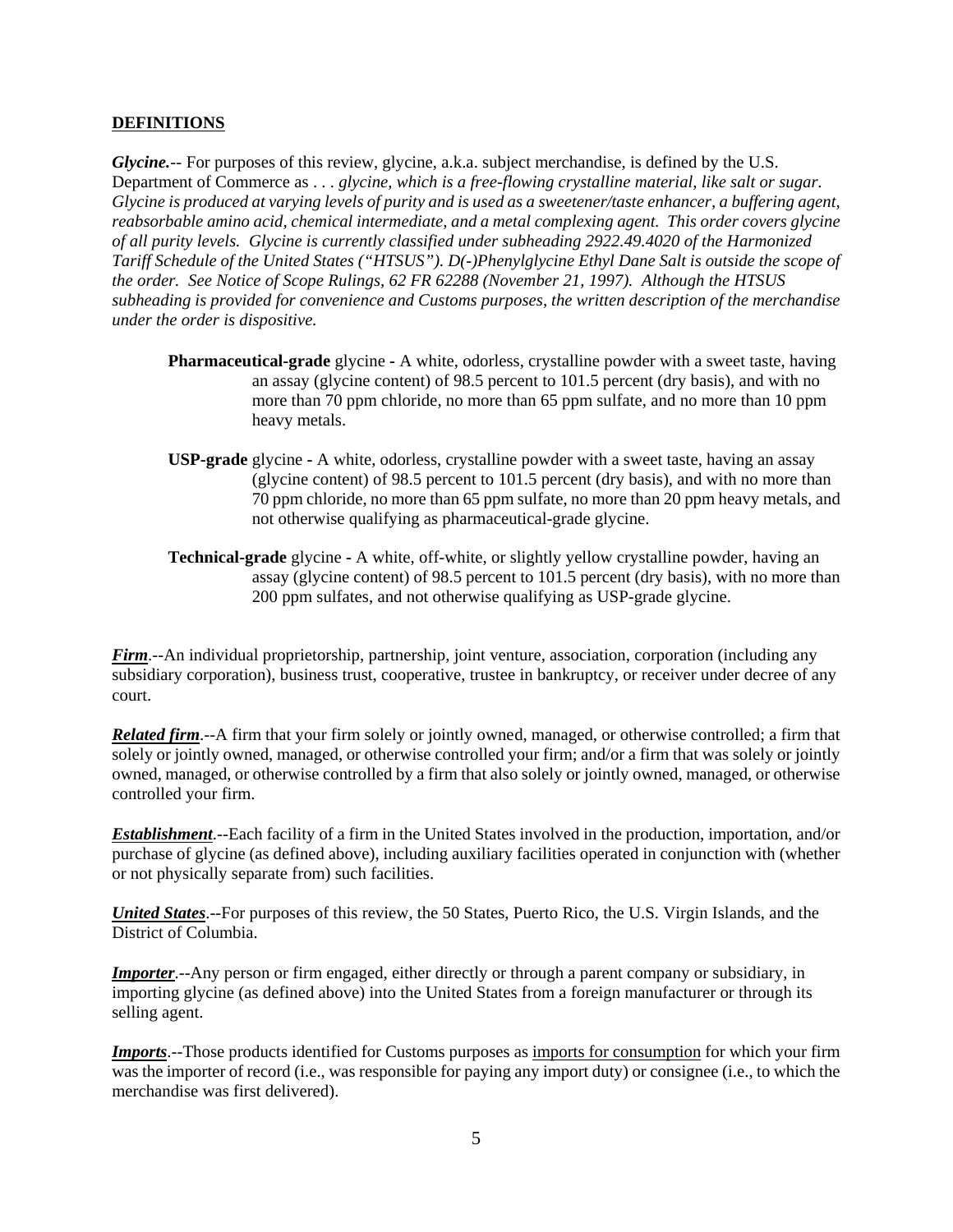#### **DEFINITIONS**

*Glycine.*-- For purposes of this review, glycine, a.k.a. subject merchandise, is defined by the U.S. Department of Commerce as . . . *glycine, which is a free-flowing crystalline material, like salt or sugar. Glycine is produced at varying levels of purity and is used as a sweetener/taste enhancer, a buffering agent, reabsorbable amino acid, chemical intermediate, and a metal complexing agent. This order covers glycine of all purity levels. Glycine is currently classified under subheading 2922.49.4020 of the Harmonized Tariff Schedule of the United States ("HTSUS"). D(-)Phenylglycine Ethyl Dane Salt is outside the scope of the order. See Notice of Scope Rulings, 62 FR 62288 (November 21, 1997). Although the HTSUS subheading is provided for convenience and Customs purposes, the written description of the merchandise under the order is dispositive.* 

- **Pharmaceutical-grade** glycineA white, odorless, crystalline powder with a sweet taste, having an assay (glycine content) of 98.5 percent to 101.5 percent (dry basis), and with no more than 70 ppm chloride, no more than 65 ppm sulfate, and no more than 10 ppm heavy metals.
- **USP-grade** glycineA white, odorless, crystalline powder with a sweet taste, having an assay (glycine content) of 98.5 percent to 101.5 percent (dry basis), and with no more than 70 ppm chloride, no more than 65 ppm sulfate, no more than 20 ppm heavy metals, and not otherwise qualifying as pharmaceutical-grade glycine.
- **Technical-grade** glycine **-** A white, off-white, or slightly yellow crystalline powder, having an assay (glycine content) of 98.5 percent to 101.5 percent (dry basis), with no more than 200 ppm sulfates, and not otherwise qualifying as USP-grade glycine.

*Firm*.--An individual proprietorship, partnership, joint venture, association, corporation (including any subsidiary corporation), business trust, cooperative, trustee in bankruptcy, or receiver under decree of any court.

*Related firm*.--A firm that your firm solely or jointly owned, managed, or otherwise controlled; a firm that solely or jointly owned, managed, or otherwise controlled your firm; and/or a firm that was solely or jointly owned, managed, or otherwise controlled by a firm that also solely or jointly owned, managed, or otherwise controlled your firm.

*Establishment*.--Each facility of a firm in the United States involved in the production, importation, and/or purchase of glycine (as defined above), including auxiliary facilities operated in conjunction with (whether or not physically separate from) such facilities.

*United States*.--For purposes of this review, the 50 States, Puerto Rico, the U.S. Virgin Islands, and the District of Columbia.

*Importer*.--Any person or firm engaged, either directly or through a parent company or subsidiary, in importing glycine (as defined above) into the United States from a foreign manufacturer or through its selling agent.

*Imports*.--Those products identified for Customs purposes as imports for consumption for which your firm was the importer of record (i.e., was responsible for paying any import duty) or consignee (i.e., to which the merchandise was first delivered).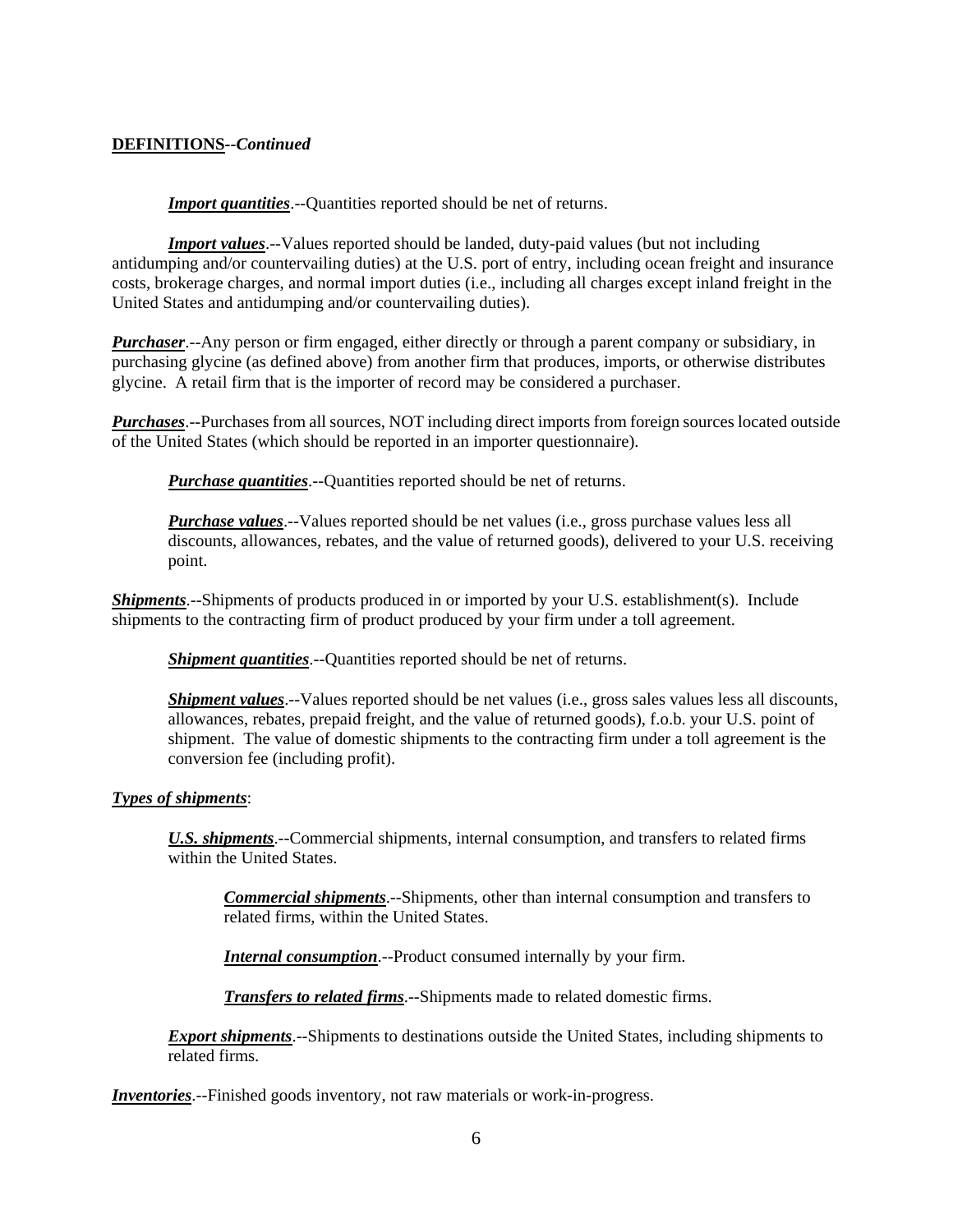## **DEFINITIONS--***Continued*

**Import quantities**.--Quantities reported should be net of returns.

*Import values*.--Values reported should be landed, duty-paid values (but not including antidumping and/or countervailing duties) at the U.S. port of entry, including ocean freight and insurance costs, brokerage charges, and normal import duties (i.e., including all charges except inland freight in the United States and antidumping and/or countervailing duties).

*Purchaser*.--Any person or firm engaged, either directly or through a parent company or subsidiary, in purchasing glycine (as defined above) from another firm that produces, imports, or otherwise distributes glycine. A retail firm that is the importer of record may be considered a purchaser.

*Purchases*.--Purchases from all sources, NOT including direct imports from foreign sources located outside of the United States (which should be reported in an importer questionnaire).

*Purchase quantities*.--Quantities reported should be net of returns.

*Purchase values*.--Values reported should be net values (i.e., gross purchase values less all discounts, allowances, rebates, and the value of returned goods), delivered to your U.S. receiving point.

*Shipments*.--Shipments of products produced in or imported by your U.S. establishment(s). Include shipments to the contracting firm of product produced by your firm under a toll agreement.

**Shipment quantities**.--Quantities reported should be net of returns.

*Shipment values*.--Values reported should be net values (i.e., gross sales values less all discounts, allowances, rebates, prepaid freight, and the value of returned goods), f.o.b. your U.S. point of shipment. The value of domestic shipments to the contracting firm under a toll agreement is the conversion fee (including profit).

### *Types of shipments*:

*U.S. shipments*.--Commercial shipments, internal consumption, and transfers to related firms within the United States.

*Commercial shipments*.--Shipments, other than internal consumption and transfers to related firms, within the United States.

*Internal consumption*.--Product consumed internally by your firm.

*Transfers to related firms*.--Shipments made to related domestic firms.

*Export shipments*.--Shipments to destinations outside the United States, including shipments to related firms.

*Inventories*.--Finished goods inventory, not raw materials or work-in-progress.